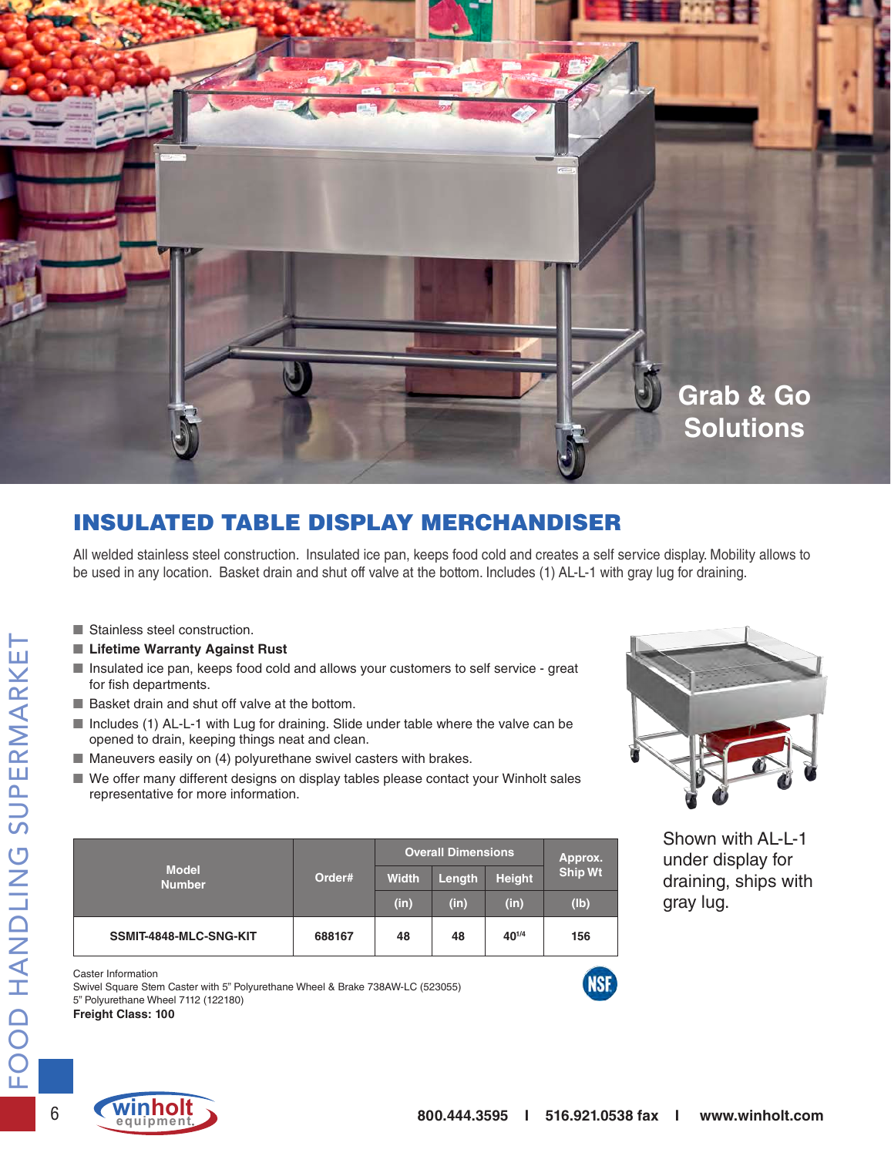

## INSULATED TABLE DISPLAY MERCHANDISER

All welded stainless steel construction. Insulated ice pan, keeps food cold and creates a self service display. Mobility allows to be used in any location. Basket drain and shut off valve at the bottom. Includes (1) AL-L-1 with gray lug for draining.

- Stainless steel construction.
- Lifetime Warranty Against Rust
- Insulated ice pan, keeps food cold and allows your customers to self service great for fish departments.
- Basket drain and shut off valve at the bottom.
- Includes (1) AL-L-1 with Lug for draining. Slide under table where the valve can be opened to drain, keeping things neat and clean.
- Maneuvers easily on (4) polyurethane swivel casters with brakes.
- We offer many different designs on display tables please contact your Winholt sales representative for more information.

| <b>Model</b><br><b>Number</b> | Order# | <b>Overall Dimensions</b> | Approx. |               |                |  |
|-------------------------------|--------|---------------------------|---------|---------------|----------------|--|
|                               |        | <b>Width</b>              | Length  | <b>Height</b> | <b>Ship Wt</b> |  |
|                               |        | (in)                      | (in)    | (in)          | (Ib)           |  |
| SSMIT-4848-MLC-SNG-KIT        | 688167 | 48                        | 48      | $40^{1/4}$    | 156            |  |



Shown with AL-L-1 under display for draining, ships with gray lug.

Caster Information

Swivel Square Stem Caster with 5" Polyurethane Wheel & Brake 738AW-LC (523055) 5" Polyurethane Wheel 7112 (122180)

**Freight Class: 100**



NSF